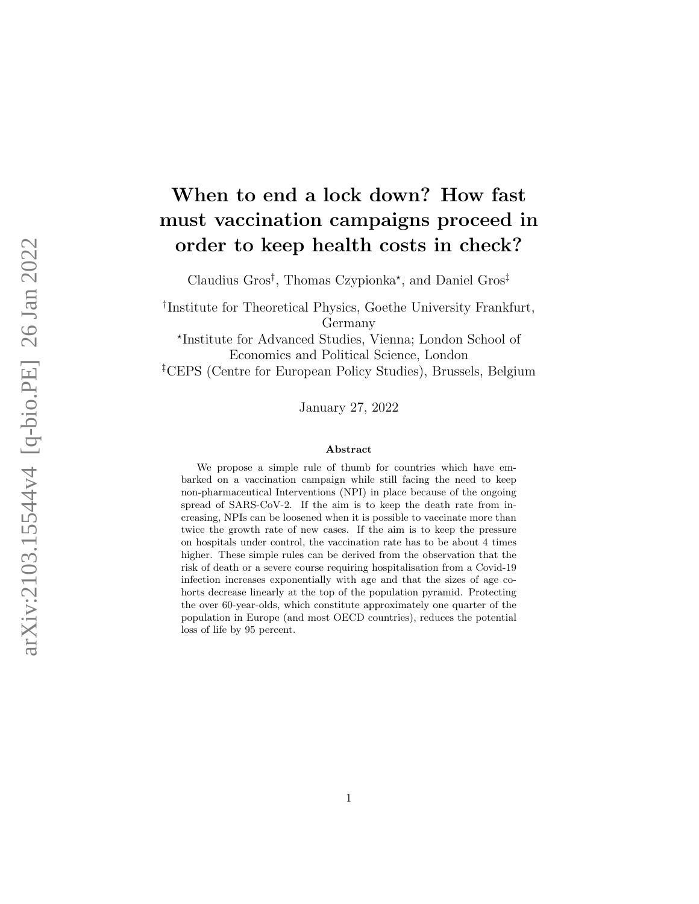# When to end a lock down? How fast must vaccination campaigns proceed in order to keep health costs in check?

Claudius Gros<sup>†</sup>, Thomas Czypionka<sup>\*</sup>, and Daniel Gros<sup>‡</sup>

† Institute for Theoretical Physics, Goethe University Frankfurt, Germany

? Institute for Advanced Studies, Vienna; London School of Economics and Political Science, London ‡CEPS (Centre for European Policy Studies), Brussels, Belgium

January 27, 2022

#### Abstract

We propose a simple rule of thumb for countries which have embarked on a vaccination campaign while still facing the need to keep non-pharmaceutical Interventions (NPI) in place because of the ongoing spread of SARS-CoV-2. If the aim is to keep the death rate from increasing, NPIs can be loosened when it is possible to vaccinate more than twice the growth rate of new cases. If the aim is to keep the pressure on hospitals under control, the vaccination rate has to be about 4 times higher. These simple rules can be derived from the observation that the risk of death or a severe course requiring hospitalisation from a Covid-19 infection increases exponentially with age and that the sizes of age cohorts decrease linearly at the top of the population pyramid. Protecting the over 60-year-olds, which constitute approximately one quarter of the population in Europe (and most OECD countries), reduces the potential loss of life by 95 percent.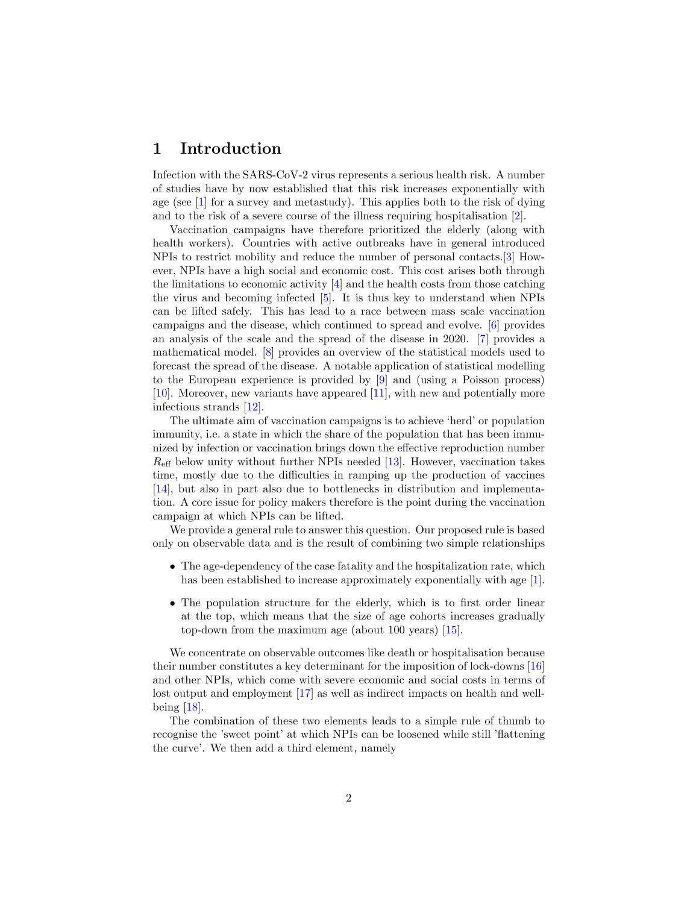# 1 Introduction

Infection with the SARS-CoV-2 virus represents a serious health risk. A number of studies have by now established that this risk increases exponentially with age (see [\[1\]](#page-13-0) for a survey and metastudy). This applies both to the risk of dying and to the risk of a severe course of the illness requiring hospitalisation [\[2\]](#page-13-1).

Vaccination campaigns have therefore prioritized the elderly (along with health workers). Countries with active outbreaks have in general introduced NPIs to restrict mobility and reduce the number of personal contacts.[\[3\]](#page-13-2) However, NPIs have a high social and economic cost. This cost arises both through the limitations to economic activity [\[4\]](#page-13-3) and the health costs from those catching the virus and becoming infected [\[5\]](#page-13-4). It is thus key to understand when NPIs can be lifted safely. This has lead to a race between mass scale vaccination campaigns and the disease, which continued to spread and evolve. [\[6\]](#page-13-5) provides an analysis of the scale and the spread of the disease in 2020. [\[7\]](#page-14-0) provides a mathematical model. [\[8\]](#page-14-1) provides an overview of the statistical models used to forecast the spread of the disease. A notable application of statistical modelling to the European experience is provided by [\[9\]](#page-14-2) and (using a Poisson process) [\[10\]](#page-14-3). Moreover, new variants have appeared [\[11\]](#page-14-4), with new and potentially more infectious strands [\[12\]](#page-14-5).

The ultimate aim of vaccination campaigns is to achieve 'herd' or population immunity, i.e. a state in which the share of the population that has been immunized by infection or vaccination brings down the effective reproduction number  $R_{\text{eff}}$  below unity without further NPIs needed [\[13\]](#page-14-6). However, vaccination takes time, mostly due to the difficulties in ramping up the production of vaccines [\[14\]](#page-14-7), but also in part also due to bottlenecks in distribution and implementation. A core issue for policy makers therefore is the point during the vaccination campaign at which NPIs can be lifted.

We provide a general rule to answer this question. Our proposed rule is based only on observable data and is the result of combining two simple relationships

- The age-dependency of the case fatality and the hospitalization rate, which has been established to increase approximately exponentially with age [\[1\]](#page-13-0).
- The population structure for the elderly, which is to first order linear at the top, which means that the size of age cohorts increases gradually top-down from the maximum age (about 100 years) [\[15\]](#page-14-8).

We concentrate on observable outcomes like death or hospitalisation because their number constitutes a key determinant for the imposition of lock-downs [\[16\]](#page-14-9) and other NPIs, which come with severe economic and social costs in terms of lost output and employment [\[17\]](#page-14-10) as well as indirect impacts on health and wellbeing [\[18\]](#page-14-11).

The combination of these two elements leads to a simple rule of thumb to recognise the 'sweet point' at which NPIs can be loosened while still 'flattening the curve'. We then add a third element, namely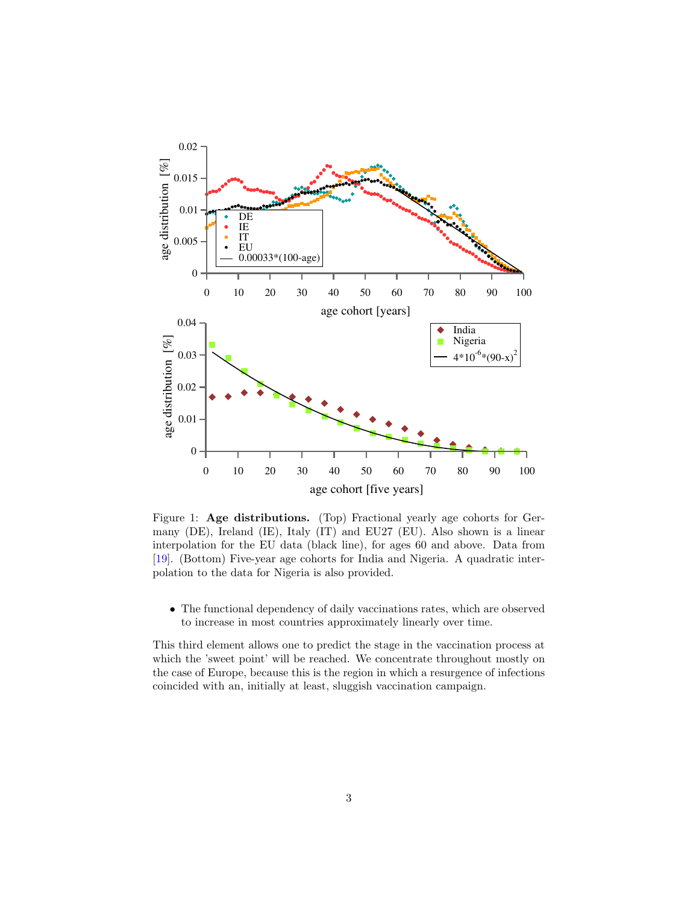

<span id="page-2-0"></span>Figure 1: Age distributions. (Top) Fractional yearly age cohorts for Germany (DE), Ireland (IE), Italy (IT) and EU27 (EU). Also shown is a linear interpolation for the EU data (black line), for ages 60 and above. Data from [\[19\]](#page-14-12). (Bottom) Five-year age cohorts for India and Nigeria. A quadratic interpolation to the data for Nigeria is also provided.

• The functional dependency of daily vaccinations rates, which are observed to increase in most countries approximately linearly over time.

This third element allows one to predict the stage in the vaccination process at which the 'sweet point' will be reached. We concentrate throughout mostly on the case of Europe, because this is the region in which a resurgence of infections coincided with an, initially at least, sluggish vaccination campaign.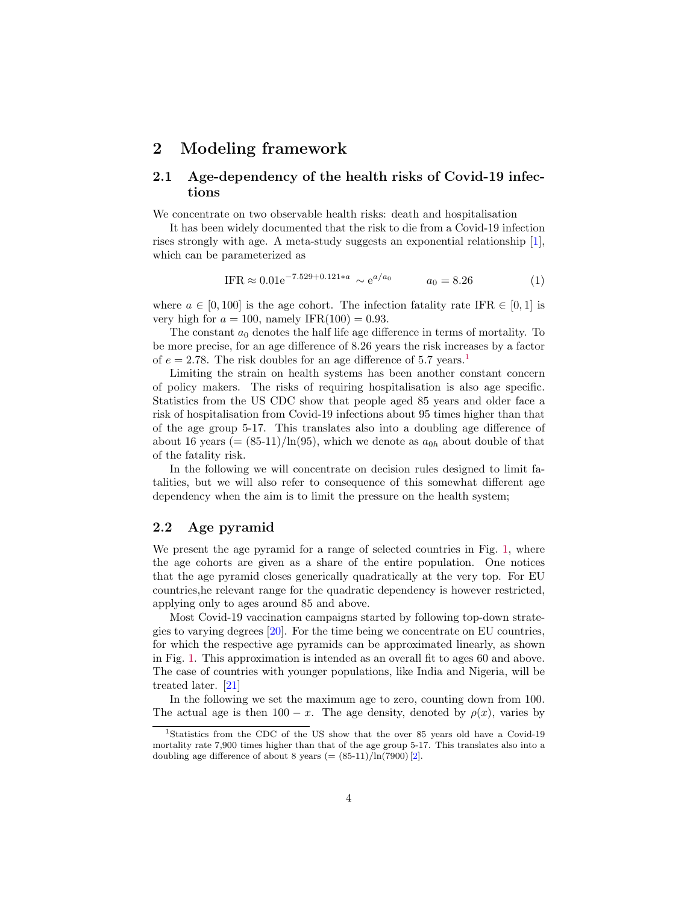### 2 Modeling framework

### 2.1 Age-dependency of the health risks of Covid-19 infections

We concentrate on two observable health risks: death and hospitalisation

It has been widely documented that the risk to die from a Covid-19 infection rises strongly with age. A meta-study suggests an exponential relationship [\[1\]](#page-13-0), which can be parameterized as

<span id="page-3-1"></span>
$$
IFR \approx 0.01e^{-7.529 + 0.121 * a} \sim e^{a/a_0} \qquad a_0 = 8.26 \tag{1}
$$

where  $a \in [0, 100]$  is the age cohort. The infection fatality rate IFR  $\in [0, 1]$  is very high for  $a = 100$ , namely IFR(100) = 0.93.

The constant  $a_0$  denotes the half life age difference in terms of mortality. To be more precise, for an age difference of 8.26 years the risk increases by a factor of  $e = 2.78$ . The risk doubles for an age difference of 5.7 years.<sup>[1](#page-3-0)</sup>

Limiting the strain on health systems has been another constant concern of policy makers. The risks of requiring hospitalisation is also age specific. Statistics from the US CDC show that people aged 85 years and older face a risk of hospitalisation from Covid-19 infections about 95 times higher than that of the age group 5-17. This translates also into a doubling age difference of about 16 years (=  $(85-11)/\ln(95)$ , which we denote as  $a_{0h}$  about double of that of the fatality risk.

In the following we will concentrate on decision rules designed to limit fatalities, but we will also refer to consequence of this somewhat different age dependency when the aim is to limit the pressure on the health system;

#### 2.2 Age pyramid

We present the age pyramid for a range of selected countries in Fig. [1,](#page-2-0) where the age cohorts are given as a share of the entire population. One notices that the age pyramid closes generically quadratically at the very top. For EU countries,he relevant range for the quadratic dependency is however restricted, applying only to ages around 85 and above.

Most Covid-19 vaccination campaigns started by following top-down strategies to varying degrees [\[20\]](#page-15-0). For the time being we concentrate on EU countries, for which the respective age pyramids can be approximated linearly, as shown in Fig. [1.](#page-2-0) This approximation is intended as an overall fit to ages 60 and above. The case of countries with younger populations, like India and Nigeria, will be treated later. [\[21\]](#page-15-1)

In the following we set the maximum age to zero, counting down from 100. The actual age is then  $100 - x$ . The age density, denoted by  $\rho(x)$ , varies by

<span id="page-3-0"></span><sup>&</sup>lt;sup>1</sup>Statistics from the CDC of the US show that the over 85 years old have a Covid-19 mortality rate 7,900 times higher than that of the age group 5-17. This translates also into a doubling age difference of about 8 years  $(=(85-11)/\ln(7900)$  [\[2\]](#page-13-1).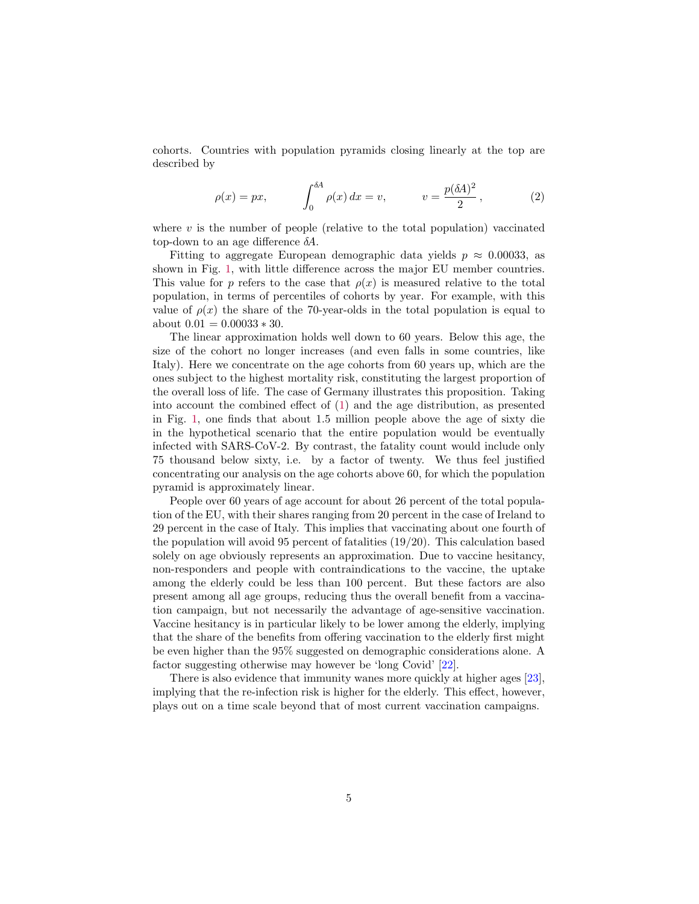cohorts. Countries with population pyramids closing linearly at the top are described by

<span id="page-4-0"></span>
$$
\rho(x) = px, \qquad \int_0^{\delta A} \rho(x) dx = v, \qquad v = \frac{p(\delta A)^2}{2}, \qquad (2)
$$

where  $v$  is the number of people (relative to the total population) vaccinated top-down to an age difference  $\delta A$ .

Fitting to aggregate European demographic data yields  $p \approx 0.00033$ , as shown in Fig. [1,](#page-2-0) with little difference across the major EU member countries. This value for p refers to the case that  $\rho(x)$  is measured relative to the total population, in terms of percentiles of cohorts by year. For example, with this value of  $\rho(x)$  the share of the 70-year-olds in the total population is equal to about  $0.01 = 0.00033 * 30$ .

The linear approximation holds well down to 60 years. Below this age, the size of the cohort no longer increases (and even falls in some countries, like Italy). Here we concentrate on the age cohorts from 60 years up, which are the ones subject to the highest mortality risk, constituting the largest proportion of the overall loss of life. The case of Germany illustrates this proposition. Taking into account the combined effect of [\(1\)](#page-3-1) and the age distribution, as presented in Fig. [1,](#page-2-0) one finds that about 1.5 million people above the age of sixty die in the hypothetical scenario that the entire population would be eventually infected with SARS-CoV-2. By contrast, the fatality count would include only 75 thousand below sixty, i.e. by a factor of twenty. We thus feel justified concentrating our analysis on the age cohorts above 60, for which the population pyramid is approximately linear.

People over 60 years of age account for about 26 percent of the total population of the EU, with their shares ranging from 20 percent in the case of Ireland to 29 percent in the case of Italy. This implies that vaccinating about one fourth of the population will avoid 95 percent of fatalities (19/20). This calculation based solely on age obviously represents an approximation. Due to vaccine hesitancy, non-responders and people with contraindications to the vaccine, the uptake among the elderly could be less than 100 percent. But these factors are also present among all age groups, reducing thus the overall benefit from a vaccination campaign, but not necessarily the advantage of age-sensitive vaccination. Vaccine hesitancy is in particular likely to be lower among the elderly, implying that the share of the benefits from offering vaccination to the elderly first might be even higher than the 95% suggested on demographic considerations alone. A factor suggesting otherwise may however be 'long Covid' [\[22\]](#page-15-2).

There is also evidence that immunity wanes more quickly at higher ages [\[23\]](#page-15-3), implying that the re-infection risk is higher for the elderly. This effect, however, plays out on a time scale beyond that of most current vaccination campaigns.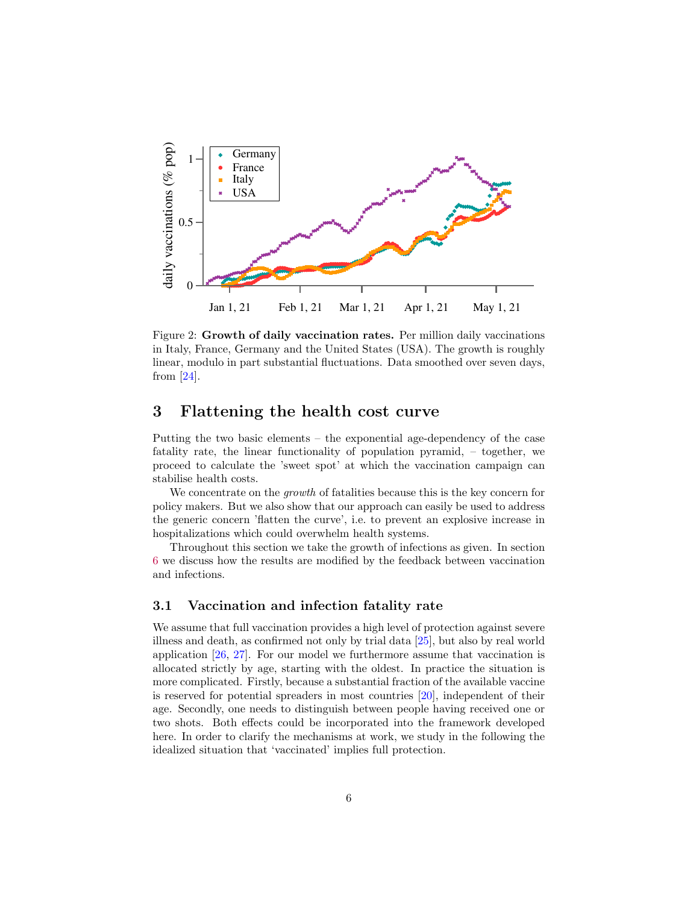

<span id="page-5-0"></span>Figure 2: Growth of daily vaccination rates. Per million daily vaccinations in Italy, France, Germany and the United States (USA). The growth is roughly linear, modulo in part substantial fluctuations. Data smoothed over seven days, from [\[24\]](#page-15-4).

### 3 Flattening the health cost curve

Putting the two basic elements – the exponential age-dependency of the case fatality rate, the linear functionality of population pyramid, – together, we proceed to calculate the 'sweet spot' at which the vaccination campaign can stabilise health costs.

We concentrate on the *growth* of fatalities because this is the key concern for policy makers. But we also show that our approach can easily be used to address the generic concern 'flatten the curve', i.e. to prevent an explosive increase in hospitalizations which could overwhelm health systems.

Throughout this section we take the growth of infections as given. In section [6](#page-9-0) we discuss how the results are modified by the feedback between vaccination and infections.

#### 3.1 Vaccination and infection fatality rate

We assume that full vaccination provides a high level of protection against severe illness and death, as confirmed not only by trial data [\[25\]](#page-15-5), but also by real world application [\[26,](#page-15-6) [27\]](#page-15-7). For our model we furthermore assume that vaccination is allocated strictly by age, starting with the oldest. In practice the situation is more complicated. Firstly, because a substantial fraction of the available vaccine is reserved for potential spreaders in most countries [\[20\]](#page-15-0), independent of their age. Secondly, one needs to distinguish between people having received one or two shots. Both effects could be incorporated into the framework developed here. In order to clarify the mechanisms at work, we study in the following the idealized situation that 'vaccinated' implies full protection.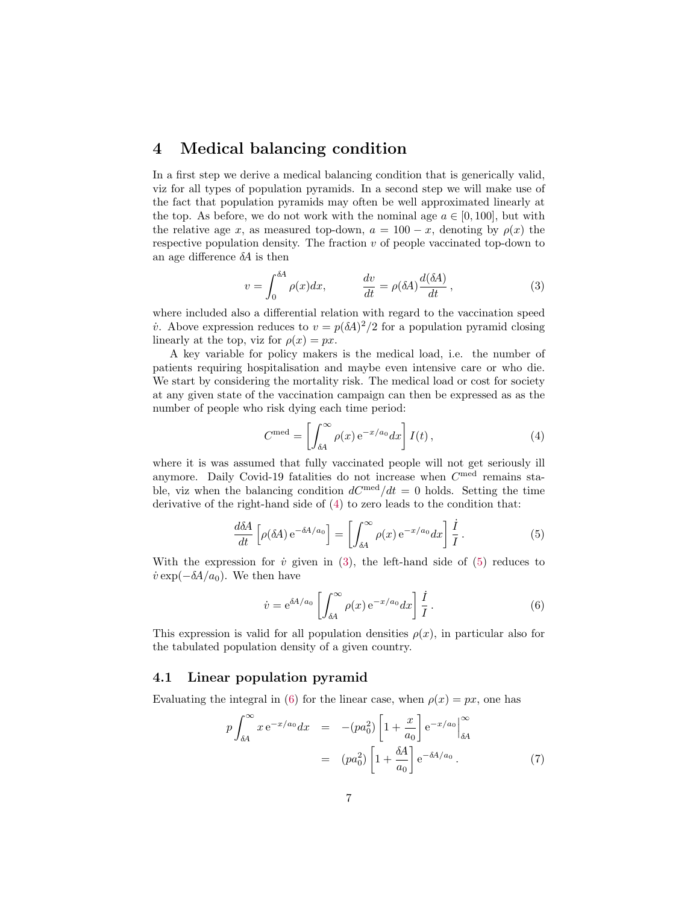# 4 Medical balancing condition

In a first step we derive a medical balancing condition that is generically valid, viz for all types of population pyramids. In a second step we will make use of the fact that population pyramids may often be well approximated linearly at the top. As before, we do not work with the nominal age  $a \in [0, 100]$ , but with the relative age x, as measured top-down,  $a = 100 - x$ , denoting by  $\rho(x)$  the respective population density. The fraction  $v$  of people vaccinated top-down to an age difference  $\delta A$  is then

<span id="page-6-1"></span>
$$
v = \int_0^{\delta A} \rho(x) dx, \qquad \frac{dv}{dt} = \rho(\delta A) \frac{d(\delta A)}{dt}, \qquad (3)
$$

where included also a differential relation with regard to the vaccination speed *i*. Above expression reduces to  $v = p(\delta A)^2/2$  for a population pyramid closing linearly at the top, viz for  $\rho(x) = px$ .

A key variable for policy makers is the medical load, i.e. the number of patients requiring hospitalisation and maybe even intensive care or who die. We start by considering the mortality risk. The medical load or cost for society at any given state of the vaccination campaign can then be expressed as as the number of people who risk dying each time period:

<span id="page-6-0"></span>
$$
C^{\text{med}} = \left[ \int_{\delta A}^{\infty} \rho(x) e^{-x/a_0} dx \right] I(t), \qquad (4)
$$

where it is was assumed that fully vaccinated people will not get seriously ill anymore. Daily Covid-19 fatalities do not increase when  $C^{med}$  remains stable, viz when the balancing condition  $dC^{\text{med}}/dt = 0$  holds. Setting the time derivative of the right-hand side of [\(4\)](#page-6-0) to zero leads to the condition that:

<span id="page-6-2"></span>
$$
\frac{d\delta A}{dt} \left[ \rho(\delta A) e^{-\delta A/a_0} \right] = \left[ \int_{\delta A}^{\infty} \rho(x) e^{-x/a_0} dx \right] \frac{\dot{I}}{I}.
$$
 (5)

With the expression for  $\dot{v}$  given in [\(3\)](#page-6-1), the left-hand side of [\(5\)](#page-6-2) reduces to  $\dot{v}$  exp( $-\delta A/a_0$ ). We then have

<span id="page-6-3"></span>
$$
\dot{v} = e^{\delta A/a_0} \left[ \int_{\delta A}^{\infty} \rho(x) e^{-x/a_0} dx \right] \frac{\dot{I}}{I} . \tag{6}
$$

This expression is valid for all population densities  $\rho(x)$ , in particular also for the tabulated population density of a given country.

#### 4.1 Linear population pyramid

Evaluating the integral in [\(6\)](#page-6-3) for the linear case, when  $\rho(x) = px$ , one has

$$
p \int_{\delta A}^{\infty} x e^{-x/a_0} dx = -(pa_0^2) \left[ 1 + \frac{x}{a_0} \right] e^{-x/a_0} \Big|_{\delta A}^{\infty}
$$
  
= 
$$
(pa_0^2) \left[ 1 + \frac{\delta A}{a_0} \right] e^{-\delta A/a_0} . \tag{7}
$$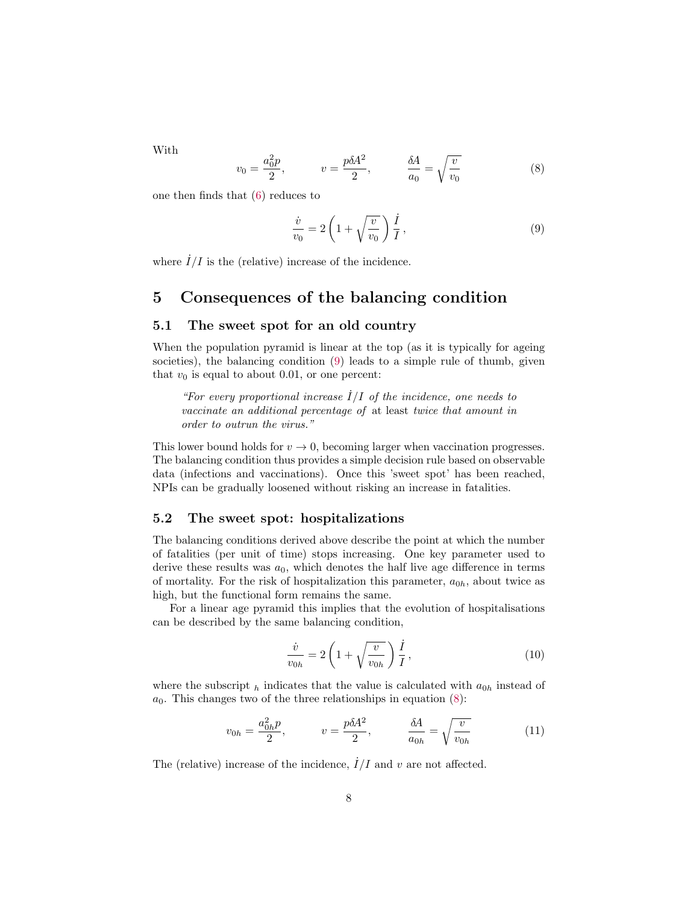With

<span id="page-7-1"></span>
$$
v_0 = \frac{a_0^2 p}{2}, \qquad v = \frac{p \delta A^2}{2}, \qquad \frac{\delta A}{a_0} = \sqrt{\frac{v}{v_0}}
$$
 (8)

one then finds that [\(6\)](#page-6-3) reduces to

<span id="page-7-0"></span>
$$
\frac{\dot{v}}{v_0} = 2\left(1 + \sqrt{\frac{v}{v_0}}\right)\frac{\dot{I}}{I},\tag{9}
$$

where  $\dot{I}/I$  is the (relative) increase of the incidence.

### 5 Consequences of the balancing condition

#### 5.1 The sweet spot for an old country

When the population pyramid is linear at the top (as it is typically for ageing societies), the balancing condition [\(9\)](#page-7-0) leads to a simple rule of thumb, given that  $v_0$  is equal to about 0.01, or one percent:

"For every proportional increase  $I/I$  of the incidence, one needs to vaccinate an additional percentage of at least twice that amount in order to outrun the virus."

This lower bound holds for  $v \to 0$ , becoming larger when vaccination progresses. The balancing condition thus provides a simple decision rule based on observable data (infections and vaccinations). Once this 'sweet spot' has been reached, NPIs can be gradually loosened without risking an increase in fatalities.

#### 5.2 The sweet spot: hospitalizations

The balancing conditions derived above describe the point at which the number of fatalities (per unit of time) stops increasing. One key parameter used to derive these results was  $a_0$ , which denotes the half live age difference in terms of mortality. For the risk of hospitalization this parameter,  $a_{0h}$ , about twice as high, but the functional form remains the same.

For a linear age pyramid this implies that the evolution of hospitalisations can be described by the same balancing condition,

<span id="page-7-3"></span>
$$
\frac{\dot{v}}{v_{0h}} = 2\left(1 + \sqrt{\frac{v}{v_{0h}}}\right)\frac{\dot{I}}{I},\tag{10}
$$

where the subscript  $_h$  indicates that the value is calculated with  $a_{0h}$  instead of  $a_0$ . This changes two of the three relationships in equation [\(8\)](#page-7-1):

<span id="page-7-2"></span>
$$
v_{0h} = \frac{a_{0h}^2 p}{2}, \qquad v = \frac{p \delta A^2}{2}, \qquad \frac{\delta A}{a_{0h}} = \sqrt{\frac{v}{v_{0h}}} \tag{11}
$$

The (relative) increase of the incidence,  $I/I$  and v are not affected.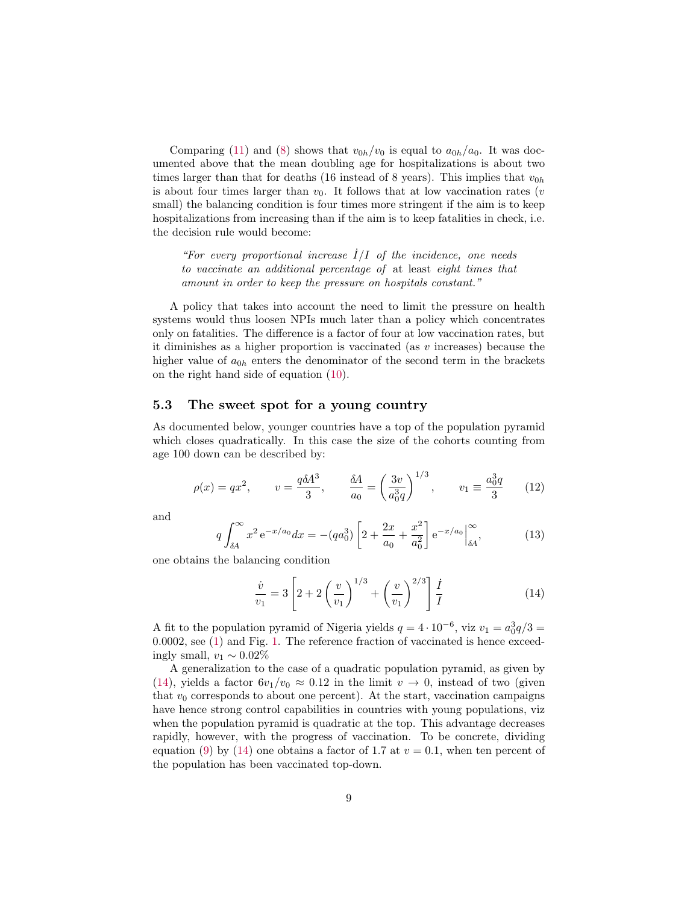Comparing [\(11\)](#page-7-2) and [\(8\)](#page-7-1) shows that  $v_{0h}/v_0$  is equal to  $a_{0h}/a_0$ . It was documented above that the mean doubling age for hospitalizations is about two times larger than that for deaths (16 instead of 8 years). This implies that  $v_{0h}$ is about four times larger than  $v_0$ . It follows that at low vaccination rates (*v* small) the balancing condition is four times more stringent if the aim is to keep hospitalizations from increasing than if the aim is to keep fatalities in check, i.e. the decision rule would become:

"For every proportional increase  $\dot{I}/I$  of the incidence, one needs to vaccinate an additional percentage of at least eight times that amount in order to keep the pressure on hospitals constant."

A policy that takes into account the need to limit the pressure on health systems would thus loosen NPIs much later than a policy which concentrates only on fatalities. The difference is a factor of four at low vaccination rates, but it diminishes as a higher proportion is vaccinated (as  $v$  increases) because the higher value of  $a_{0h}$  enters the denominator of the second term in the brackets on the right hand side of equation [\(10\)](#page-7-3).

#### 5.3 The sweet spot for a young country

As documented below, younger countries have a top of the population pyramid which closes quadratically. In this case the size of the cohorts counting from age 100 down can be described by:

$$
\rho(x) = qx^2
$$
,  $v = \frac{q\delta A^3}{3}$ ,  $\frac{\delta A}{a_0} = \left(\frac{3v}{a_0^3 q}\right)^{1/3}$ ,  $v_1 \equiv \frac{a_0^3 q}{3}$  (12)

and

$$
q \int_{\delta A}^{\infty} x^2 e^{-x/a_0} dx = -(qa_0^3) \left[ 2 + \frac{2x}{a_0} + \frac{x^2}{a_0^2} \right] e^{-x/a_0} \Big|_{\delta A}^{\infty}, \tag{13}
$$

one obtains the balancing condition

<span id="page-8-0"></span>
$$
\frac{\dot{v}}{v_1} = 3 \left[ 2 + 2 \left( \frac{v}{v_1} \right)^{1/3} + \left( \frac{v}{v_1} \right)^{2/3} \right] \frac{\dot{I}}{I}
$$
\n(14)

A fit to the population pyramid of Nigeria yields  $q = 4 \cdot 10^{-6}$ , viz  $v_1 = a_0^3 q/3 =$ 0.0002, see [\(1\)](#page-3-1) and Fig. [1.](#page-2-0) The reference fraction of vaccinated is hence exceedingly small,  $v_1 \sim 0.02\%$ 

A generalization to the case of a quadratic population pyramid, as given by [\(14\)](#page-8-0), yields a factor  $6v_1/v_0 \approx 0.12$  in the limit  $v \to 0$ , instead of two (given that  $v_0$  corresponds to about one percent). At the start, vaccination campaigns have hence strong control capabilities in countries with young populations, viz when the population pyramid is quadratic at the top. This advantage decreases rapidly, however, with the progress of vaccination. To be concrete, dividing equation [\(9\)](#page-7-0) by [\(14\)](#page-8-0) one obtains a factor of 1.7 at  $v = 0.1$ , when ten percent of the population has been vaccinated top-down.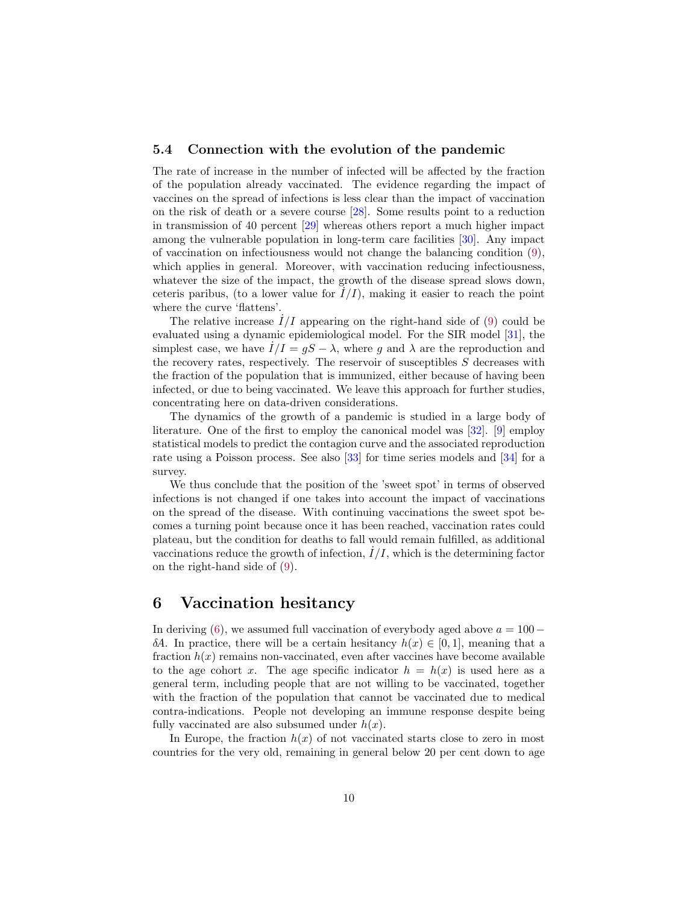#### 5.4 Connection with the evolution of the pandemic

The rate of increase in the number of infected will be affected by the fraction of the population already vaccinated. The evidence regarding the impact of vaccines on the spread of infections is less clear than the impact of vaccination on the risk of death or a severe course [\[28\]](#page-15-8). Some results point to a reduction in transmission of 40 percent [\[29\]](#page-15-9) whereas others report a much higher impact among the vulnerable population in long-term care facilities [\[30\]](#page-15-10). Any impact of vaccination on infectiousness would not change the balancing condition  $(9)$ , which applies in general. Moreover, with vaccination reducing infectiousness, whatever the size of the impact, the growth of the disease spread slows down, ceteris paribus, (to a lower value for  $\dot{I}/I$ ), making it easier to reach the point where the curve 'flattens'.

The relative increase  $\dot{I}/I$  appearing on the right-hand side of [\(9\)](#page-7-0) could be evaluated using a dynamic epidemiological model. For the SIR model [\[31\]](#page-15-11), the simplest case, we have  $\dot{I}/I = gS - \lambda$ , where g and  $\lambda$  are the reproduction and the recovery rates, respectively. The reservoir of susceptibles  $S$  decreases with the fraction of the population that is immunized, either because of having been infected, or due to being vaccinated. We leave this approach for further studies, concentrating here on data-driven considerations.

The dynamics of the growth of a pandemic is studied in a large body of literature. One of the first to employ the canonical model was [\[32\]](#page-15-12). [\[9\]](#page-14-2) employ statistical models to predict the contagion curve and the associated reproduction rate using a Poisson process. See also [\[33\]](#page-15-13) for time series models and [\[34\]](#page-16-0) for a survey.

We thus conclude that the position of the 'sweet spot' in terms of observed infections is not changed if one takes into account the impact of vaccinations on the spread of the disease. With continuing vaccinations the sweet spot becomes a turning point because once it has been reached, vaccination rates could plateau, but the condition for deaths to fall would remain fulfilled, as additional vaccinations reduce the growth of infection,  $I/I$ , which is the determining factor on the right-hand side of [\(9\)](#page-7-0).

### <span id="page-9-0"></span>6 Vaccination hesitancy

In deriving [\(6\)](#page-6-3), we assumed full vaccination of everybody aged above  $a = 100$ δA. In practice, there will be a certain hesitancy  $h(x) \in [0, 1]$ , meaning that a fraction  $h(x)$  remains non-vaccinated, even after vaccines have become available to the age cohort x. The age specific indicator  $h = h(x)$  is used here as a general term, including people that are not willing to be vaccinated, together with the fraction of the population that cannot be vaccinated due to medical contra-indications. People not developing an immune response despite being fully vaccinated are also subsumed under  $h(x)$ .

In Europe, the fraction  $h(x)$  of not vaccinated starts close to zero in most countries for the very old, remaining in general below 20 per cent down to age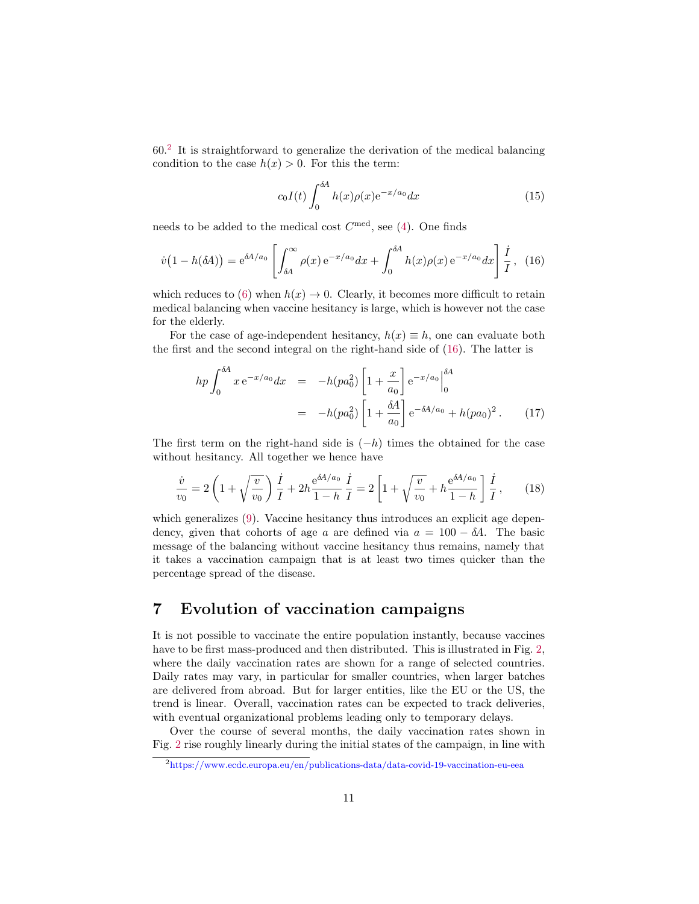60.[2](#page-10-0) It is straightforward to generalize the derivation of the medical balancing condition to the case  $h(x) > 0$ . For this the term:

$$
c_0 I(t) \int_0^{\delta A} h(x) \rho(x) e^{-x/a_0} dx \tag{15}
$$

needs to be added to the medical cost  $C^{\text{med}}$ , see [\(4\)](#page-6-0). One finds

<span id="page-10-1"></span>
$$
\dot{v}\left(1 - h(\delta A)\right) = e^{\delta A/a_0} \left[ \int_{\delta A}^{\infty} \rho(x) e^{-x/a_0} dx + \int_0^{\delta A} h(x) \rho(x) e^{-x/a_0} dx \right] \frac{\dot{I}}{I}, \tag{16}
$$

which reduces to [\(6\)](#page-6-3) when  $h(x) \to 0$ . Clearly, it becomes more difficult to retain medical balancing when vaccine hesitancy is large, which is however not the case for the elderly.

For the case of age-independent hesitancy,  $h(x) \equiv h$ , one can evaluate both the first and the second integral on the right-hand side of [\(16\)](#page-10-1). The latter is

$$
hp \int_0^{\delta A} x e^{-x/a_0} dx = -h(pa_0^2) \left[ 1 + \frac{x}{a_0} \right] e^{-x/a_0} \Big|_0^{\delta A}
$$
  
=  $-h(pa_0^2) \left[ 1 + \frac{\delta A}{a_0} \right] e^{-\delta A/a_0} + h(pa_0)^2.$  (17)

The first term on the right-hand side is  $(-h)$  times the obtained for the case without hesitancy. All together we hence have

$$
\frac{\dot{v}}{v_0} = 2\left(1 + \sqrt{\frac{v}{v_0}}\right)\frac{\dot{I}}{I} + 2h\frac{e^{\delta A/a_0}}{1-h}\frac{\dot{I}}{I} = 2\left[1 + \sqrt{\frac{v}{v_0}} + h\frac{e^{\delta A/a_0}}{1-h}\right]\frac{\dot{I}}{I},\qquad(18)
$$

which generalizes [\(9\)](#page-7-0). Vaccine hesitancy thus introduces an explicit age dependency, given that cohorts of age a are defined via  $a = 100 - \delta A$ . The basic message of the balancing without vaccine hesitancy thus remains, namely that it takes a vaccination campaign that is at least two times quicker than the percentage spread of the disease.

# 7 Evolution of vaccination campaigns

It is not possible to vaccinate the entire population instantly, because vaccines have to be first mass-produced and then distributed. This is illustrated in Fig. [2,](#page-5-0) where the daily vaccination rates are shown for a range of selected countries. Daily rates may vary, in particular for smaller countries, when larger batches are delivered from abroad. But for larger entities, like the EU or the US, the trend is linear. Overall, vaccination rates can be expected to track deliveries, with eventual organizational problems leading only to temporary delays.

Over the course of several months, the daily vaccination rates shown in Fig. [2](#page-5-0) rise roughly linearly during the initial states of the campaign, in line with

<span id="page-10-0"></span><sup>2</sup><https://www.ecdc.europa.eu/en/publications-data/data-covid-19-vaccination-eu-eea>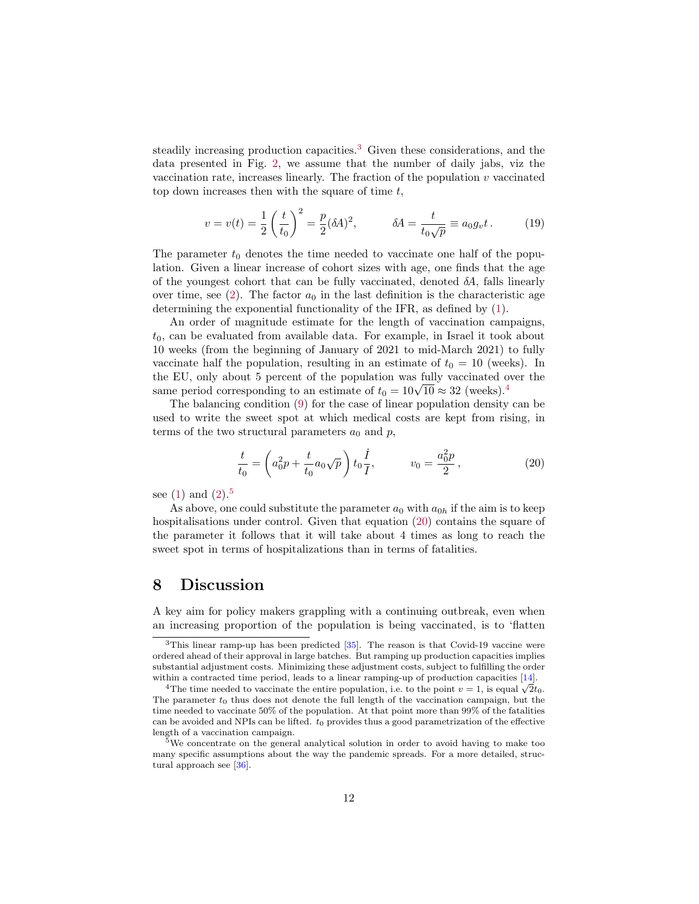steadily increasing production capacities.<sup>[3](#page-11-0)</sup> Given these considerations, and the data presented in Fig. [2,](#page-5-0) we assume that the number of daily jabs, viz the vaccination rate, increases linearly. The fraction of the population  $v$  vaccinated top down increases then with the square of time  $t$ ,

$$
v = v(t) = \frac{1}{2} \left( \frac{t}{t_0} \right)^2 = \frac{p}{2} (\delta A)^2,
$$
  $\delta A = \frac{t}{t_0 \sqrt{p}} \equiv a_0 g_v t.$  (19)

The parameter  $t_0$  denotes the time needed to vaccinate one half of the population. Given a linear increase of cohort sizes with age, one finds that the age of the youngest cohort that can be fully vaccinated, denoted  $\delta A$ , falls linearly over time, see [\(2\)](#page-4-0). The factor  $a_0$  in the last definition is the characteristic age determining the exponential functionality of the IFR, as defined by [\(1\)](#page-3-1).

An order of magnitude estimate for the length of vaccination campaigns,  $t_0$ , can be evaluated from available data. For example, in Israel it took about 10 weeks (from the beginning of January of 2021 to mid-March 2021) to fully vaccinate half the population, resulting in an estimate of  $t_0 = 10$  (weeks). In the EU, only about 5 percent of the population was fully vaccinated over the the EU, only about 5 percent of the population was fully vaccinated 6 same period corresponding to an estimate of  $t_0 = 10\sqrt{10} \approx 32$  (weeks).<sup>[4](#page-11-1)</sup>

The balancing condition [\(9\)](#page-7-0) for the case of linear population density can be used to write the sweet spot at which medical costs are kept from rising, in terms of the two structural parameters  $a_0$  and  $p$ ,

<span id="page-11-3"></span>
$$
\frac{t}{t_0} = \left( a_0^2 p + \frac{t}{t_0} a_0 \sqrt{p} \right) t_0 \frac{\dot{I}}{I}, \qquad v_0 = \frac{a_0^2 p}{2}, \qquad (20)
$$

see  $(1)$  and  $(2).<sup>5</sup>$  $(2).<sup>5</sup>$  $(2).<sup>5</sup>$  $(2).<sup>5</sup>$ 

As above, one could substitute the parameter  $a_0$  with  $a_{0h}$  if the aim is to keep hospitalisations under control. Given that equation [\(20\)](#page-11-3) contains the square of the parameter it follows that it will take about 4 times as long to reach the sweet spot in terms of hospitalizations than in terms of fatalities.

### 8 Discussion

A key aim for policy makers grappling with a continuing outbreak, even when an increasing proportion of the population is being vaccinated, is to 'flatten

<span id="page-11-0"></span> $3$ This linear ramp-up has been predicted [\[35\]](#page-16-1). The reason is that Covid-19 vaccine were ordered ahead of their approval in large batches. But ramping up production capacities implies substantial adjustment costs. Minimizing these adjustment costs, subject to fulfilling the order within a contracted time period, leads to a linear ramping-up of production capacities [\[14\]](#page-14-7).

<span id="page-11-1"></span>The time needed to vaccinate the entire population, i.e. to the point  $v = 1$ , is equal  $\sqrt{2}t_0$ . The parameter  $t_0$  thus does not denote the full length of the vaccination campaign, but the time needed to vaccinate 50% of the population. At that point more than 99% of the fatalities can be avoided and NPIs can be lifted.  $t_0$  provides thus a good parametrization of the effective length of a vaccination campaign.

<span id="page-11-2"></span><sup>&</sup>lt;sup>5</sup>We concentrate on the general analytical solution in order to avoid having to make too many specific assumptions about the way the pandemic spreads. For a more detailed, structural approach see [\[36\]](#page-16-2).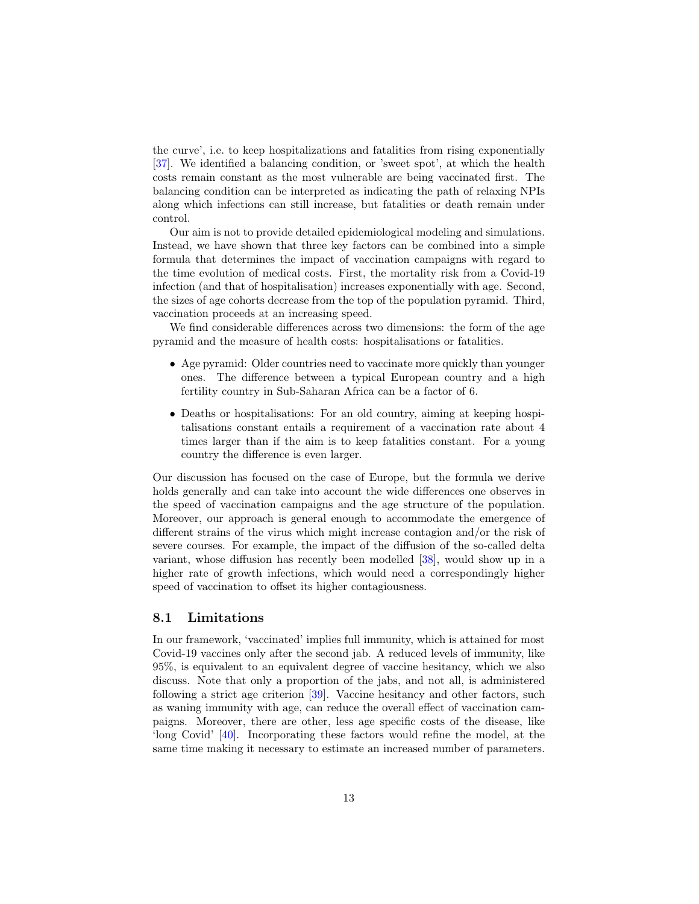the curve', i.e. to keep hospitalizations and fatalities from rising exponentially [\[37\]](#page-16-3). We identified a balancing condition, or 'sweet spot', at which the health costs remain constant as the most vulnerable are being vaccinated first. The balancing condition can be interpreted as indicating the path of relaxing NPIs along which infections can still increase, but fatalities or death remain under control.

Our aim is not to provide detailed epidemiological modeling and simulations. Instead, we have shown that three key factors can be combined into a simple formula that determines the impact of vaccination campaigns with regard to the time evolution of medical costs. First, the mortality risk from a Covid-19 infection (and that of hospitalisation) increases exponentially with age. Second, the sizes of age cohorts decrease from the top of the population pyramid. Third, vaccination proceeds at an increasing speed.

We find considerable differences across two dimensions: the form of the age pyramid and the measure of health costs: hospitalisations or fatalities.

- Age pyramid: Older countries need to vaccinate more quickly than younger ones. The difference between a typical European country and a high fertility country in Sub-Saharan Africa can be a factor of 6.
- Deaths or hospitalisations: For an old country, aiming at keeping hospitalisations constant entails a requirement of a vaccination rate about 4 times larger than if the aim is to keep fatalities constant. For a young country the difference is even larger.

Our discussion has focused on the case of Europe, but the formula we derive holds generally and can take into account the wide differences one observes in the speed of vaccination campaigns and the age structure of the population. Moreover, our approach is general enough to accommodate the emergence of different strains of the virus which might increase contagion and/or the risk of severe courses. For example, the impact of the diffusion of the so-called delta variant, whose diffusion has recently been modelled [\[38\]](#page-16-4), would show up in a higher rate of growth infections, which would need a correspondingly higher speed of vaccination to offset its higher contagiousness.

#### 8.1 Limitations

In our framework, 'vaccinated' implies full immunity, which is attained for most Covid-19 vaccines only after the second jab. A reduced levels of immunity, like 95%, is equivalent to an equivalent degree of vaccine hesitancy, which we also discuss. Note that only a proportion of the jabs, and not all, is administered following a strict age criterion [\[39\]](#page-16-5). Vaccine hesitancy and other factors, such as waning immunity with age, can reduce the overall effect of vaccination campaigns. Moreover, there are other, less age specific costs of the disease, like 'long Covid' [\[40\]](#page-16-6). Incorporating these factors would refine the model, at the same time making it necessary to estimate an increased number of parameters.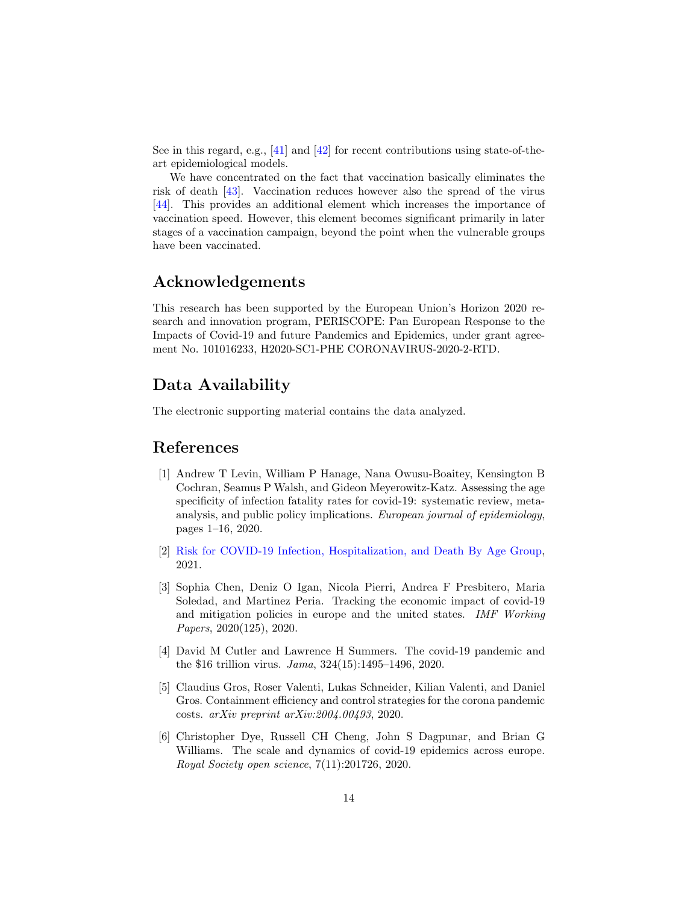See in this regard, e.g., [\[41\]](#page-16-7) and [\[42\]](#page-16-8) for recent contributions using state-of-theart epidemiological models.

We have concentrated on the fact that vaccination basically eliminates the risk of death [\[43\]](#page-16-9). Vaccination reduces however also the spread of the virus [\[44\]](#page-17-0). This provides an additional element which increases the importance of vaccination speed. However, this element becomes significant primarily in later stages of a vaccination campaign, beyond the point when the vulnerable groups have been vaccinated.

# Acknowledgements

This research has been supported by the European Union's Horizon 2020 research and innovation program, PERISCOPE: Pan European Response to the Impacts of Covid-19 and future Pandemics and Epidemics, under grant agreement No. 101016233, H2020-SC1-PHE CORONAVIRUS-2020-2-RTD.

# Data Availability

The electronic supporting material contains the data analyzed.

# References

- <span id="page-13-0"></span>[1] Andrew T Levin, William P Hanage, Nana Owusu-Boaitey, Kensington B Cochran, Seamus P Walsh, and Gideon Meyerowitz-Katz. Assessing the age specificity of infection fatality rates for covid-19: systematic review, metaanalysis, and public policy implications. European journal of epidemiology, pages 1–16, 2020.
- <span id="page-13-1"></span>[2] [Risk for COVID-19 Infection, Hospitalization, and Death By Age Group,](https://www.cdc.gov/coronavirus/2019-ncov/covid-data/investigations-discovery/hospitalization-death-by-age.html) 2021.
- <span id="page-13-2"></span>[3] Sophia Chen, Deniz O Igan, Nicola Pierri, Andrea F Presbitero, Maria Soledad, and Martinez Peria. Tracking the economic impact of covid-19 and mitigation policies in europe and the united states. IMF Working Papers, 2020(125), 2020.
- <span id="page-13-3"></span>[4] David M Cutler and Lawrence H Summers. The covid-19 pandemic and the \$16 trillion virus. Jama, 324(15):1495–1496, 2020.
- <span id="page-13-4"></span>[5] Claudius Gros, Roser Valenti, Lukas Schneider, Kilian Valenti, and Daniel Gros. Containment efficiency and control strategies for the corona pandemic costs. arXiv preprint arXiv:2004.00493, 2020.
- <span id="page-13-5"></span>[6] Christopher Dye, Russell CH Cheng, John S Dagpunar, and Brian G Williams. The scale and dynamics of covid-19 epidemics across europe. Royal Society open science, 7(11):201726, 2020.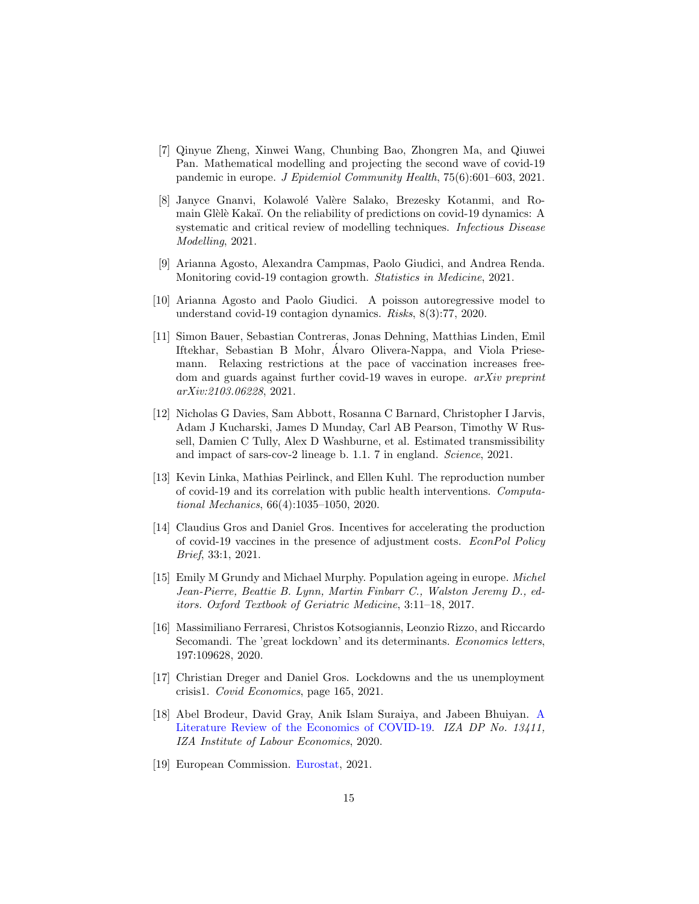- <span id="page-14-0"></span>[7] Qinyue Zheng, Xinwei Wang, Chunbing Bao, Zhongren Ma, and Qiuwei Pan. Mathematical modelling and projecting the second wave of covid-19 pandemic in europe. J Epidemiol Community Health, 75(6):601–603, 2021.
- <span id="page-14-1"></span>[8] Janyce Gnanvi, Kolawolé Valère Salako, Brezesky Kotanmi, and Romain Glèlè Kakaï. On the reliability of predictions on covid-19 dynamics: A systematic and critical review of modelling techniques. Infectious Disease Modelling, 2021.
- <span id="page-14-2"></span>[9] Arianna Agosto, Alexandra Campmas, Paolo Giudici, and Andrea Renda. Monitoring covid-19 contagion growth. Statistics in Medicine, 2021.
- <span id="page-14-3"></span>[10] Arianna Agosto and Paolo Giudici. A poisson autoregressive model to understand covid-19 contagion dynamics. Risks, 8(3):77, 2020.
- <span id="page-14-4"></span>[11] Simon Bauer, Sebastian Contreras, Jonas Dehning, Matthias Linden, Emil Iftekhar, Sebastian B Mohr, Alvaro Olivera-Nappa, and Viola Priese- ´ mann. Relaxing restrictions at the pace of vaccination increases freedom and guards against further covid-19 waves in europe. *arXiv preprint* arXiv:2103.06228, 2021.
- <span id="page-14-5"></span>[12] Nicholas G Davies, Sam Abbott, Rosanna C Barnard, Christopher I Jarvis, Adam J Kucharski, James D Munday, Carl AB Pearson, Timothy W Russell, Damien C Tully, Alex D Washburne, et al. Estimated transmissibility and impact of sars-cov-2 lineage b. 1.1. 7 in england. Science, 2021.
- <span id="page-14-6"></span>[13] Kevin Linka, Mathias Peirlinck, and Ellen Kuhl. The reproduction number of covid-19 and its correlation with public health interventions. Computational Mechanics, 66(4):1035–1050, 2020.
- <span id="page-14-7"></span>[14] Claudius Gros and Daniel Gros. Incentives for accelerating the production of covid-19 vaccines in the presence of adjustment costs. EconPol Policy Brief, 33:1, 2021.
- <span id="page-14-8"></span>[15] Emily M Grundy and Michael Murphy. Population ageing in europe. Michel Jean-Pierre, Beattie B. Lynn, Martin Finbarr C., Walston Jeremy D., editors. Oxford Textbook of Geriatric Medicine, 3:11–18, 2017.
- <span id="page-14-9"></span>[16] Massimiliano Ferraresi, Christos Kotsogiannis, Leonzio Rizzo, and Riccardo Secomandi. The 'great lockdown' and its determinants. Economics letters, 197:109628, 2020.
- <span id="page-14-10"></span>[17] Christian Dreger and Daniel Gros. Lockdowns and the us unemployment crisis1. Covid Economics, page 165, 2021.
- <span id="page-14-11"></span>[18] Abel Brodeur, David Gray, Anik Islam Suraiya, and Jabeen Bhuiyan. [A](http://ftp.iza.org/dp13411.pdf) [Literature Review of the Economics of COVID-19.](http://ftp.iza.org/dp13411.pdf) IZA DP No. 13411, IZA Institute of Labour Economics, 2020.
- <span id="page-14-12"></span>[19] European Commission. [Eurostat,](https://ec.europa.eu/eurostat/data/database) 2021.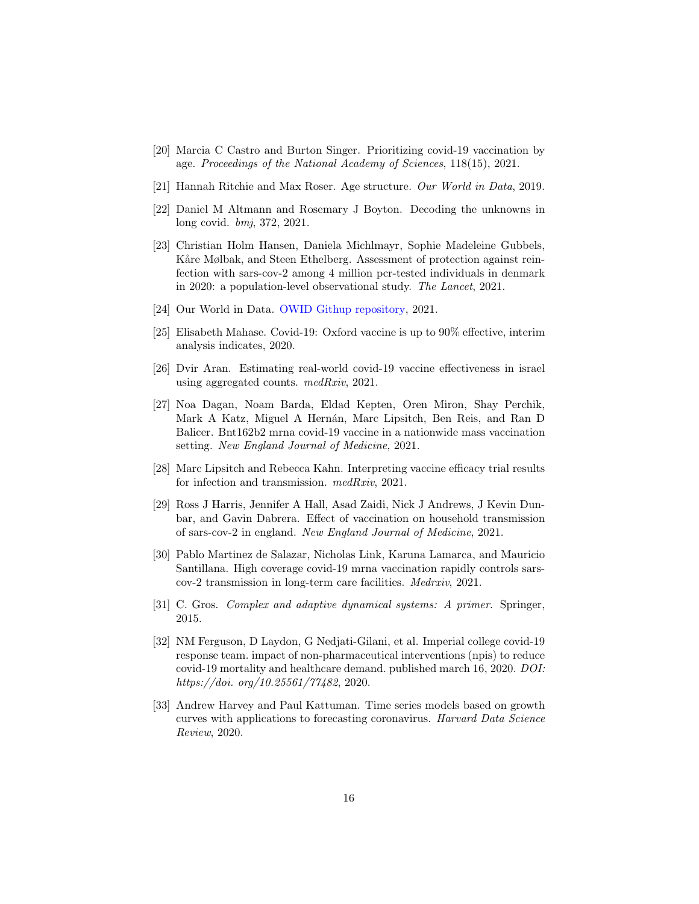- <span id="page-15-0"></span>[20] Marcia C Castro and Burton Singer. Prioritizing covid-19 vaccination by age. Proceedings of the National Academy of Sciences, 118(15), 2021.
- <span id="page-15-1"></span>[21] Hannah Ritchie and Max Roser. Age structure. Our World in Data, 2019.
- <span id="page-15-2"></span>[22] Daniel M Altmann and Rosemary J Boyton. Decoding the unknowns in long covid. bmj, 372, 2021.
- <span id="page-15-3"></span>[23] Christian Holm Hansen, Daniela Michlmayr, Sophie Madeleine Gubbels, Kåre Mølbak, and Steen Ethelberg. Assessment of protection against reinfection with sars-cov-2 among 4 million pcr-tested individuals in denmark in 2020: a population-level observational study. The Lancet, 2021.
- <span id="page-15-4"></span>[24] Our World in Data. [OWID Githup repository,](https://github.com/owid/covid-19-data/tree/master/public/data) 2021.
- <span id="page-15-5"></span>[25] Elisabeth Mahase. Covid-19: Oxford vaccine is up to 90% effective, interim analysis indicates, 2020.
- <span id="page-15-6"></span>[26] Dvir Aran. Estimating real-world covid-19 vaccine effectiveness in israel using aggregated counts. medRxiv, 2021.
- <span id="page-15-7"></span>[27] Noa Dagan, Noam Barda, Eldad Kepten, Oren Miron, Shay Perchik, Mark A Katz, Miguel A Hernán, Marc Lipsitch, Ben Reis, and Ran D Balicer. Bnt162b2 mrna covid-19 vaccine in a nationwide mass vaccination setting. New England Journal of Medicine, 2021.
- <span id="page-15-8"></span>[28] Marc Lipsitch and Rebecca Kahn. Interpreting vaccine efficacy trial results for infection and transmission. medRxiv, 2021.
- <span id="page-15-9"></span>[29] Ross J Harris, Jennifer A Hall, Asad Zaidi, Nick J Andrews, J Kevin Dunbar, and Gavin Dabrera. Effect of vaccination on household transmission of sars-cov-2 in england. New England Journal of Medicine, 2021.
- <span id="page-15-10"></span>[30] Pablo Martinez de Salazar, Nicholas Link, Karuna Lamarca, and Mauricio Santillana. High coverage covid-19 mrna vaccination rapidly controls sarscov-2 transmission in long-term care facilities. Medrxiv, 2021.
- <span id="page-15-11"></span>[31] C. Gros. Complex and adaptive dynamical systems: A primer. Springer, 2015.
- <span id="page-15-12"></span>[32] NM Ferguson, D Laydon, G Nedjati-Gilani, et al. Imperial college covid-19 response team. impact of non-pharmaceutical interventions (npis) to reduce covid-19 mortality and healthcare demand. published march 16, 2020. DOI: https://doi. org/10.25561/77482, 2020.
- <span id="page-15-13"></span>[33] Andrew Harvey and Paul Kattuman. Time series models based on growth curves with applications to forecasting coronavirus. Harvard Data Science Review, 2020.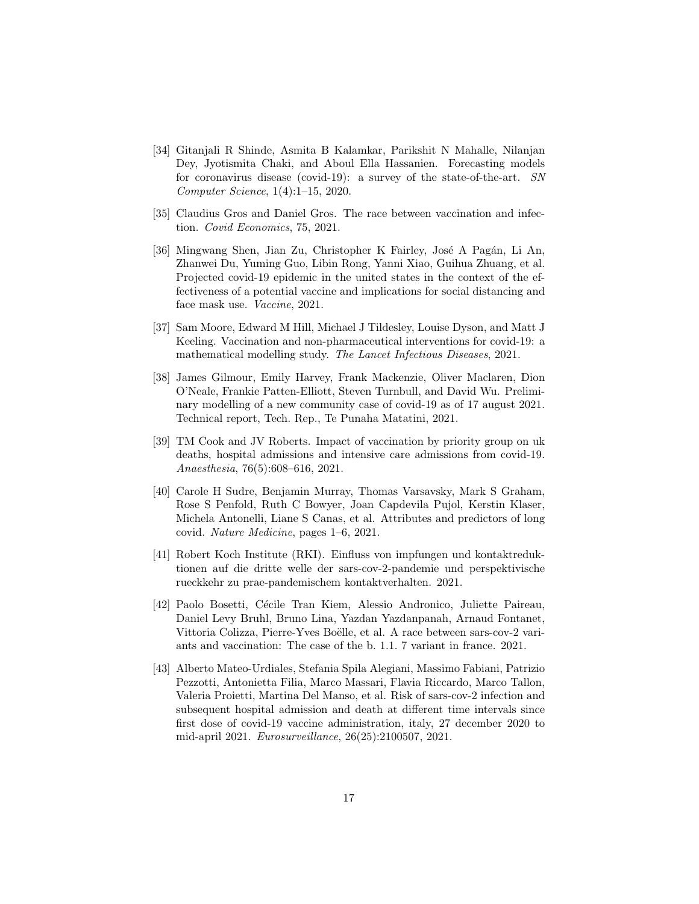- <span id="page-16-0"></span>[34] Gitanjali R Shinde, Asmita B Kalamkar, Parikshit N Mahalle, Nilanjan Dey, Jyotismita Chaki, and Aboul Ella Hassanien. Forecasting models for coronavirus disease (covid-19): a survey of the state-of-the-art. SN Computer Science, 1(4):1–15, 2020.
- <span id="page-16-1"></span>[35] Claudius Gros and Daniel Gros. The race between vaccination and infection. Covid Economics, 75, 2021.
- <span id="page-16-2"></span>[36] Mingwang Shen, Jian Zu, Christopher K Fairley, José A Pagán, Li An, Zhanwei Du, Yuming Guo, Libin Rong, Yanni Xiao, Guihua Zhuang, et al. Projected covid-19 epidemic in the united states in the context of the effectiveness of a potential vaccine and implications for social distancing and face mask use. Vaccine, 2021.
- <span id="page-16-3"></span>[37] Sam Moore, Edward M Hill, Michael J Tildesley, Louise Dyson, and Matt J Keeling. Vaccination and non-pharmaceutical interventions for covid-19: a mathematical modelling study. The Lancet Infectious Diseases, 2021.
- <span id="page-16-4"></span>[38] James Gilmour, Emily Harvey, Frank Mackenzie, Oliver Maclaren, Dion O'Neale, Frankie Patten-Elliott, Steven Turnbull, and David Wu. Preliminary modelling of a new community case of covid-19 as of 17 august 2021. Technical report, Tech. Rep., Te Punaha Matatini, 2021.
- <span id="page-16-5"></span>[39] TM Cook and JV Roberts. Impact of vaccination by priority group on uk deaths, hospital admissions and intensive care admissions from covid-19. Anaesthesia, 76(5):608–616, 2021.
- <span id="page-16-6"></span>[40] Carole H Sudre, Benjamin Murray, Thomas Varsavsky, Mark S Graham, Rose S Penfold, Ruth C Bowyer, Joan Capdevila Pujol, Kerstin Klaser, Michela Antonelli, Liane S Canas, et al. Attributes and predictors of long covid. Nature Medicine, pages 1–6, 2021.
- <span id="page-16-7"></span>[41] Robert Koch Institute (RKI). Einfluss von impfungen und kontaktreduktionen auf die dritte welle der sars-cov-2-pandemie und perspektivische rueckkehr zu prae-pandemischem kontaktverhalten. 2021.
- <span id="page-16-8"></span>[42] Paolo Bosetti, C´ecile Tran Kiem, Alessio Andronico, Juliette Paireau, Daniel Levy Bruhl, Bruno Lina, Yazdan Yazdanpanah, Arnaud Fontanet, Vittoria Colizza, Pierre-Yves Boëlle, et al. A race between sars-cov-2 variants and vaccination: The case of the b. 1.1. 7 variant in france. 2021.
- <span id="page-16-9"></span>[43] Alberto Mateo-Urdiales, Stefania Spila Alegiani, Massimo Fabiani, Patrizio Pezzotti, Antonietta Filia, Marco Massari, Flavia Riccardo, Marco Tallon, Valeria Proietti, Martina Del Manso, et al. Risk of sars-cov-2 infection and subsequent hospital admission and death at different time intervals since first dose of covid-19 vaccine administration, italy, 27 december 2020 to mid-april 2021. Eurosurveillance, 26(25):2100507, 2021.